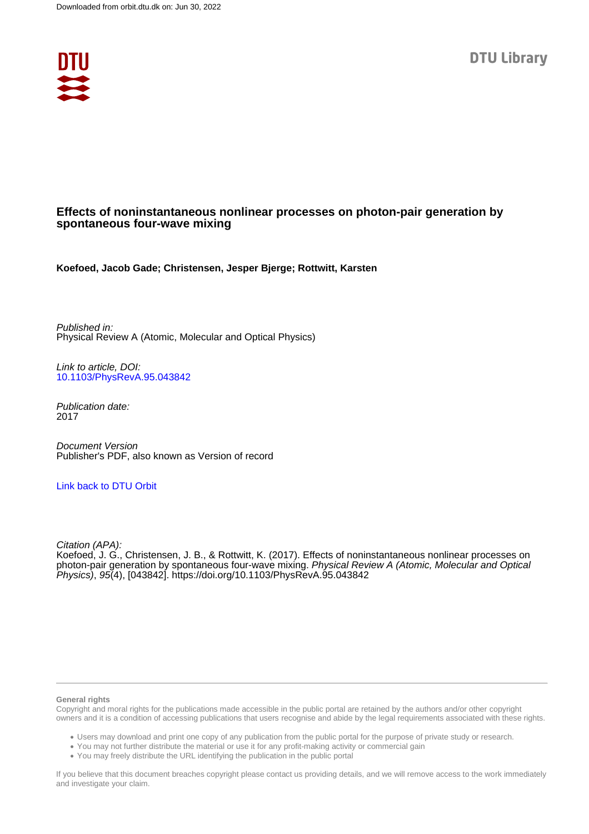

# **Effects of noninstantaneous nonlinear processes on photon-pair generation by spontaneous four-wave mixing**

**Koefoed, Jacob Gade; Christensen, Jesper Bjerge; Rottwitt, Karsten**

Published in: Physical Review A (Atomic, Molecular and Optical Physics)

Link to article, DOI: [10.1103/PhysRevA.95.043842](https://doi.org/10.1103/PhysRevA.95.043842)

Publication date: 2017

Document Version Publisher's PDF, also known as Version of record

# [Link back to DTU Orbit](https://orbit.dtu.dk/en/publications/5d37e8f1-4613-4942-b008-f0edc8219e92)

Citation (APA):

Koefoed, J. G., Christensen, J. B., & Rottwitt, K. (2017). Effects of noninstantaneous nonlinear processes on photon-pair generation by spontaneous four-wave mixing. Physical Review A (Atomic, Molecular and Optical Physics), 95(4), [043842]. <https://doi.org/10.1103/PhysRevA.95.043842>

### **General rights**

Copyright and moral rights for the publications made accessible in the public portal are retained by the authors and/or other copyright owners and it is a condition of accessing publications that users recognise and abide by the legal requirements associated with these rights.

Users may download and print one copy of any publication from the public portal for the purpose of private study or research.

- You may not further distribute the material or use it for any profit-making activity or commercial gain
- You may freely distribute the URL identifying the publication in the public portal

If you believe that this document breaches copyright please contact us providing details, and we will remove access to the work immediately and investigate your claim.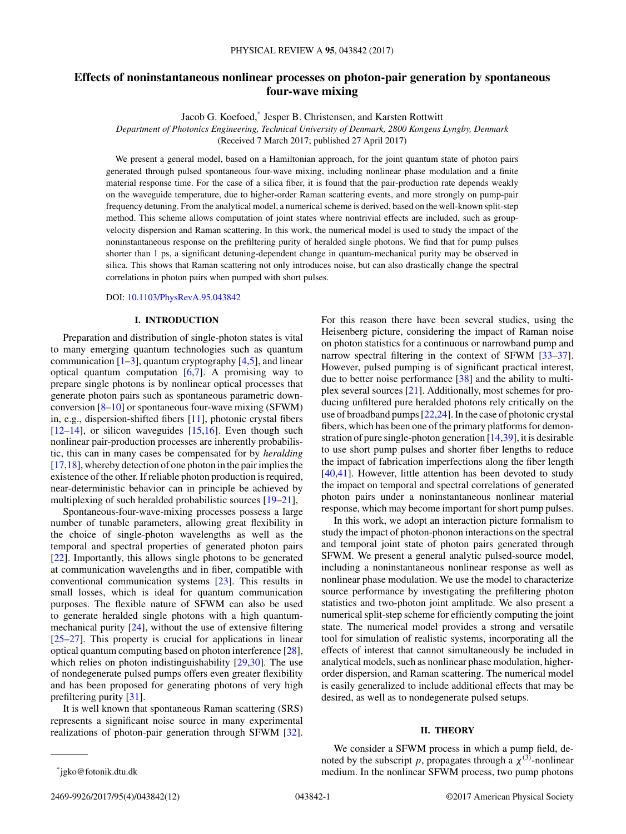# **Effects of noninstantaneous nonlinear processes on photon-pair generation by spontaneous four-wave mixing**

Jacob G. Koefoed,\* Jesper B. Christensen, and Karsten Rottwitt

*Department of Photonics Engineering, Technical University of Denmark, 2800 Kongens Lyngby, Denmark*

(Received 7 March 2017; published 27 April 2017)

We present a general model, based on a Hamiltonian approach, for the joint quantum state of photon pairs generated through pulsed spontaneous four-wave mixing, including nonlinear phase modulation and a finite material response time. For the case of a silica fiber, it is found that the pair-production rate depends weakly on the waveguide temperature, due to higher-order Raman scattering events, and more strongly on pump-pair frequency detuning. From the analytical model, a numerical scheme is derived, based on the well-known split-step method. This scheme allows computation of joint states where nontrivial effects are included, such as groupvelocity dispersion and Raman scattering. In this work, the numerical model is used to study the impact of the noninstantaneous response on the prefiltering purity of heralded single photons. We find that for pump pulses shorter than 1 ps, a significant detuning-dependent change in quantum-mechanical purity may be observed in silica. This shows that Raman scattering not only introduces noise, but can also drastically change the spectral correlations in photon pairs when pumped with short pulses.

## DOI: [10.1103/PhysRevA.95.043842](https://doi.org/10.1103/PhysRevA.95.043842)

# **I. INTRODUCTION**

Preparation and distribution of single-photon states is vital to many emerging quantum technologies such as quantum communication  $[1-3]$ , quantum cryptography  $[4,5]$ , and linear optical quantum computation [\[6,7\]](#page-11-0). A promising way to prepare single photons is by nonlinear optical processes that generate photon pairs such as spontaneous parametric downconversion  $[8-10]$  or spontaneous four-wave mixing (SFWM) in, e.g., dispersion-shifted fibers [\[11\]](#page-12-0), photonic crystal fibers  $[12–14]$ , or silicon waveguides  $[15,16]$ . Even though such nonlinear pair-production processes are inherently probabilistic, this can in many cases be compensated for by *heralding* [\[17,18\]](#page-12-0), whereby detection of one photon in the pair implies the existence of the other. If reliable photon production is required, near-deterministic behavior can in principle be achieved by multiplexing of such heralded probabilistic sources [\[19–21\]](#page-12-0),

Spontaneous-four-wave-mixing processes possess a large number of tunable parameters, allowing great flexibility in the choice of single-photon wavelengths as well as the temporal and spectral properties of generated photon pairs [\[22\]](#page-12-0). Importantly, this allows single photons to be generated at communication wavelengths and in fiber, compatible with conventional communication systems [\[23\]](#page-12-0). This results in small losses, which is ideal for quantum communication purposes. The flexible nature of SFWM can also be used to generate heralded single photons with a high quantummechanical purity [\[24\]](#page-12-0), without the use of extensive filtering [\[25–27\]](#page-12-0). This property is crucial for applications in linear optical quantum computing based on photon interference [\[28\]](#page-12-0), which relies on photon indistinguishability [\[29,30\]](#page-12-0). The use of nondegenerate pulsed pumps offers even greater flexibility and has been proposed for generating photons of very high prefiltering purity [\[31\]](#page-12-0).

It is well known that spontaneous Raman scattering (SRS) represents a significant noise source in many experimental realizations of photon-pair generation through SFWM [\[32\]](#page-12-0). For this reason there have been several studies, using the Heisenberg picture, considering the impact of Raman noise on photon statistics for a continuous or narrowband pump and narrow spectral filtering in the context of SFWM [33-37]. However, pulsed pumping is of significant practical interest, due to better noise performance [\[38\]](#page-12-0) and the ability to multiplex several sources [\[21\]](#page-12-0). Additionally, most schemes for producing unfiltered pure heralded photons rely critically on the use of broadband pumps [\[22,24\]](#page-12-0). In the case of photonic crystal fibers, which has been one of the primary platforms for demonstration of pure single-photon generation [\[14,39\]](#page-12-0), it is desirable to use short pump pulses and shorter fiber lengths to reduce the impact of fabrication imperfections along the fiber length [\[40,41\]](#page-12-0). However, little attention has been devoted to study the impact on temporal and spectral correlations of generated photon pairs under a noninstantaneous nonlinear material response, which may become important for short pump pulses.

In this work, we adopt an interaction picture formalism to study the impact of photon-phonon interactions on the spectral and temporal joint state of photon pairs generated through SFWM. We present a general analytic pulsed-source model, including a noninstantaneous nonlinear response as well as nonlinear phase modulation. We use the model to characterize source performance by investigating the prefiltering photon statistics and two-photon joint amplitude. We also present a numerical split-step scheme for efficiently computing the joint state. The numerical model provides a strong and versatile tool for simulation of realistic systems, incorporating all the effects of interest that cannot simultaneously be included in analytical models, such as nonlinear phase modulation, higherorder dispersion, and Raman scattering. The numerical model is easily generalized to include additional effects that may be desired, as well as to nondegenerate pulsed setups.

## **II. THEORY**

We consider a SFWM process in which a pump field, denoted by the subscript *p*, propagates through a  $\chi^{(3)}$ -nonlinear medium. In the nonlinear SFWM process, two pump photons

2469-9926/2017/95(4)/043842(12) 043842-1 ©2017 American Physical Society

<sup>\*</sup>jgko@fotonik.dtu.dk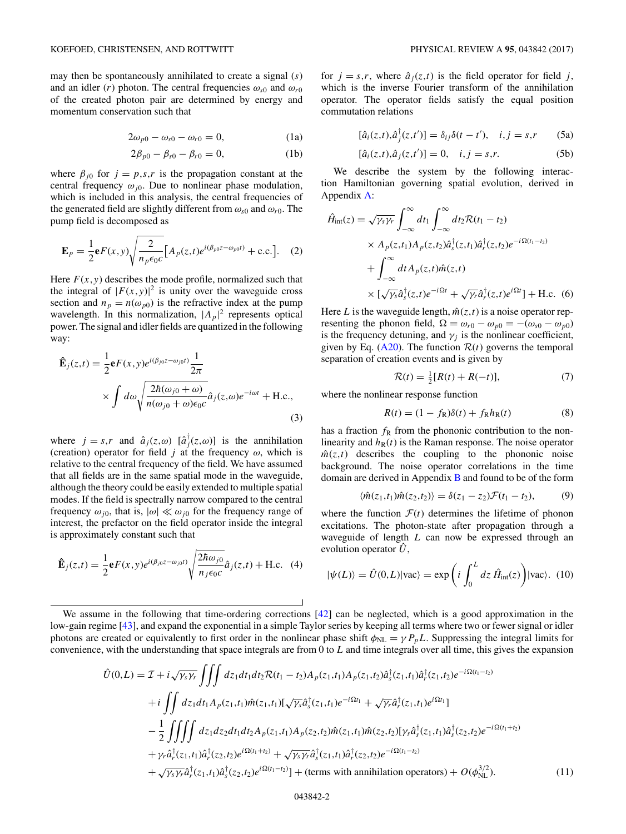<span id="page-2-0"></span>may then be spontaneously annihilated to create a signal (*s*) and an idler (*r*) photon. The central frequencies  $\omega_{s0}$  and  $\omega_{r0}$ of the created photon pair are determined by energy and momentum conservation such that

$$
2\omega_{p0} - \omega_{s0} - \omega_{r0} = 0, \qquad (1a)
$$

$$
2\beta_{p0} - \beta_{s0} - \beta_{r0} = 0, \tag{1b}
$$

where  $\beta_{j0}$  for  $j = p,s,r$  is the propagation constant at the central frequency  $\omega_{i0}$ . Due to nonlinear phase modulation, which is included in this analysis, the central frequencies of the generated field are slightly different from  $\omega_{s0}$  and  $\omega_{r0}$ . The pump field is decomposed as

$$
\mathbf{E}_p = \frac{1}{2} \mathbf{e} F(x, y) \sqrt{\frac{2}{n_p \epsilon_0 c}} \Big[ A_p(z, t) e^{i(\beta_{p0} z - \omega_{p0} t)} + \text{c.c.} \Big]. \tag{2}
$$

Here  $F(x, y)$  describes the mode profile, normalized such that the integral of  $|F(x, y)|^2$  is unity over the waveguide cross section and  $n_p = n(\omega_{p0})$  is the refractive index at the pump wavelength. In this normalization,  $|A_p|^2$  represents optical power. The signal and idler fields are quantized in the following way:

$$
\hat{\mathbf{E}}_{j}(z,t) = \frac{1}{2} \mathbf{e} F(x,y) e^{i(\beta_{j0}z - \omega_{j0}t)} \frac{1}{2\pi}
$$
\n
$$
\times \int d\omega \sqrt{\frac{2\hbar(\omega_{j0} + \omega)}{n(\omega_{j0} + \omega)\epsilon_{0}c}} \hat{a}_{j}(z,\omega) e^{-i\omega t} + \text{H.c.},
$$
\n(3)

where  $j = s, r$  and  $\hat{a}_j(z, \omega)$   $[\hat{a}_j^{\dagger}(z, \omega)]$  is the annihilation (creation) operator for field *j* at the frequency  $\omega$ , which is relative to the central frequency of the field. We have assumed that all fields are in the same spatial mode in the waveguide, although the theory could be easily extended to multiple spatial modes. If the field is spectrally narrow compared to the central frequency  $\omega_{j0}$ , that is,  $|\omega| \ll \omega_{j0}$  for the frequency range of interest, the prefactor on the field operator inside the integral is approximately constant such that

$$
\hat{\mathbf{E}}_j(z,t) = \frac{1}{2} \mathbf{e} F(x,y) e^{i(\beta_{j0}z - \omega_{j0}t)} \sqrt{\frac{2\hbar \omega_{j0}}{n_j \epsilon_0 c}} \hat{a}_j(z,t) + \text{H.c.} \quad (4)
$$

for  $j = s,r$ , where  $\hat{a}_i(z,t)$  is the field operator for field *j*, which is the inverse Fourier transform of the annihilation operator. The operator fields satisfy the equal position commutation relations

$$
[\hat{a}_i(z,t), \hat{a}_j^{\dagger}(z,t')] = \delta_{ij}\delta(t-t'), \quad i, j = s, r \tag{5a}
$$

$$
[\hat{a}_i(z,t), \hat{a}_j(z,t')] = 0, \quad i, j = s, r.
$$
 (5b)

We describe the system by the following interaction Hamiltonian governing spatial evolution, derived in Appendix [A:](#page-8-0)

$$
\hat{H}_{int}(z) = \sqrt{\gamma_s \gamma_r} \int_{-\infty}^{\infty} dt_1 \int_{-\infty}^{\infty} dt_2 \mathcal{R}(t_1 - t_2)
$$
\n
$$
\times A_p(z, t_1) A_p(z, t_2) \hat{a}_s^{\dagger}(z, t_1) \hat{a}_r^{\dagger}(z, t_2) e^{-i\Omega(t_1 - t_2)}
$$
\n
$$
+ \int_{-\infty}^{\infty} dt A_p(z, t) \hat{m}(z, t)
$$
\n
$$
\times [\sqrt{\gamma_s} \hat{a}_s^{\dagger}(z, t) e^{-i\Omega t} + \sqrt{\gamma_r} \hat{a}_r^{\dagger}(z, t) e^{i\Omega t}] + \text{H.c. (6)}
$$

Here *L* is the waveguide length,  $\hat{m}(z,t)$  is a noise operator representing the phonon field,  $\Omega = \omega_{r0} - \omega_{p0} = -(\omega_{s0} - \omega_{p0})$ is the frequency detuning, and  $\gamma_i$  is the nonlinear coefficient, given by Eq.  $(A20)$ . The function  $\mathcal{R}(t)$  governs the temporal separation of creation events and is given by

$$
\mathcal{R}(t) = \frac{1}{2}[R(t) + R(-t)],
$$
\n(7)

where the nonlinear response function

$$
R(t) = (1 - fR)\delta(t) + fRhR(t)
$$
\n(8)

has a fraction  $f_{\rm R}$  from the phononic contribution to the nonlinearity and  $h_R(t)$  is the Raman response. The noise operator  $\hat{m}(z,t)$  describes the coupling to the phononic noise background. The noise operator correlations in the time domain are derived in Appendix [B](#page-10-0) and found to be of the form

$$
\langle \hat{m}(z_1, t_1)\hat{m}(z_2, t_2)\rangle = \delta(z_1 - z_2)\mathcal{F}(t_1 - t_2),\tag{9}
$$

where the function  $\mathcal{F}(t)$  determines the lifetime of phonon excitations. The photon-state after propagation through a waveguide of length *L* can now be expressed through an evolution operator  $\hat{U}$ ,

$$
|\psi(L)\rangle = \hat{U}(0,L)|\text{vac}\rangle = \exp\left(i\int_0^L dz \,\hat{H}_{\text{int}}(z)\right)|\text{vac}\rangle. \tag{10}
$$

We assume in the following that time-ordering corrections [\[42\]](#page-12-0) can be neglected, which is a good approximation in the low-gain regime [\[43\]](#page-12-0), and expand the exponential in a simple Taylor series by keeping all terms where two or fewer signal or idler photons are created or equivalently to first order in the nonlinear phase shift  $\phi_{NL} = \gamma P_p L$ . Suppressing the integral limits for convenience, with the understanding that space integrals are from 0 to *L* and time integrals over all time, this gives the expansion

$$
\hat{U}(0,L) = \mathcal{I} + i\sqrt{\gamma_{s}\gamma_{r}} \iiint dz_{1}dt_{1}dt_{2}\mathcal{R}(t_{1} - t_{2})A_{p}(z_{1},t_{1})A_{p}(z_{1},t_{2})\hat{a}_{s}^{\dagger}(z_{1},t_{1})\hat{a}_{r}^{\dagger}(z_{1},t_{2})e^{-i\Omega(t_{1}-t_{2})}
$$
\n
$$
+ i \iint dz_{1}dt_{1}A_{p}(z_{1},t_{1})\hat{m}(z_{1},t_{1})[\sqrt{\gamma_{s}}\hat{a}_{s}^{\dagger}(z_{1},t_{1})e^{-i\Omega t_{1}} + \sqrt{\gamma_{r}}\hat{a}_{r}^{\dagger}(z_{1},t_{1})e^{i\Omega t_{1}}]
$$
\n
$$
- \frac{1}{2} \iiint dz_{1}dz_{2}dt_{1}dt_{2}A_{p}(z_{1},t_{1})A_{p}(z_{2},t_{2})\hat{m}(z_{1},t_{1})\hat{m}(z_{2},t_{2})[\gamma_{s}\hat{a}_{s}^{\dagger}(z_{1},t_{1})\hat{a}_{s}^{\dagger}(z_{2},t_{2})e^{-i\Omega(t_{1}+t_{2})}
$$
\n
$$
+ \gamma_{r}\hat{a}_{r}^{\dagger}(z_{1},t_{1})\hat{a}_{r}^{\dagger}(z_{2},t_{2})e^{i\Omega(t_{1}+t_{2})} + \sqrt{\gamma_{s}\gamma_{r}}\hat{a}_{s}^{\dagger}(z_{1},t_{1})\hat{a}_{r}^{\dagger}(z_{2},t_{2})e^{-i\Omega(t_{1}-t_{2})}
$$
\n
$$
+ \sqrt{\gamma_{s}\gamma_{r}}\hat{a}_{r}^{\dagger}(z_{1},t_{1})\hat{a}_{s}^{\dagger}(z_{2},t_{2})e^{i\Omega(t_{1}-t_{2})}] + \text{(terms with annihilation operators)} + O(\phi_{NL}^{3/2}). \tag{11}
$$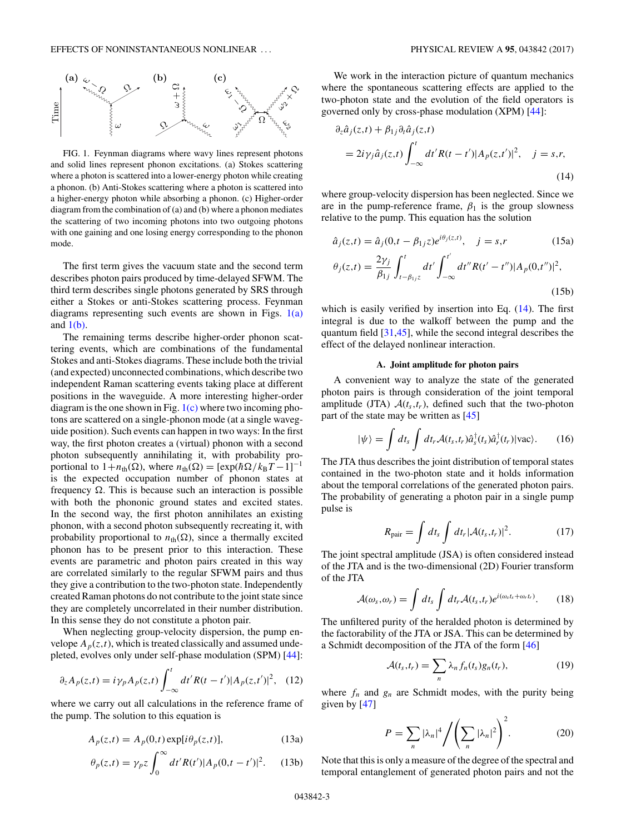<span id="page-3-0"></span>

FIG. 1. Feynman diagrams where wavy lines represent photons and solid lines represent phonon excitations. (a) Stokes scattering where a photon is scattered into a lower-energy photon while creating a phonon. (b) Anti-Stokes scattering where a photon is scattered into a higher-energy photon while absorbing a phonon. (c) Higher-order diagram from the combination of (a) and (b) where a phonon mediates the scattering of two incoming photons into two outgoing photons with one gaining and one losing energy corresponding to the phonon mode.

The first term gives the vacuum state and the second term describes photon pairs produced by time-delayed SFWM. The third term describes single photons generated by SRS through either a Stokes or anti-Stokes scattering process. Feynman diagrams representing such events are shown in Figs.  $1(a)$ and  $1(b)$ .

The remaining terms describe higher-order phonon scattering events, which are combinations of the fundamental Stokes and anti-Stokes diagrams. These include both the trivial (and expected) unconnected combinations, which describe two independent Raman scattering events taking place at different positions in the waveguide. A more interesting higher-order diagram is the one shown in Fig. 1(c) where two incoming photons are scattered on a single-phonon mode (at a single waveguide position). Such events can happen in two ways: In the first way, the first photon creates a (virtual) phonon with a second photon subsequently annihilating it, with probability proportional to  $1 + n_{\text{th}}(\Omega)$ , where  $n_{\text{th}}(\Omega) = [\exp(\hbar \Omega / k_{\text{B}}T - 1]^{-1}]$ is the expected occupation number of phonon states at frequency  $\Omega$ . This is because such an interaction is possible with both the phononic ground states and excited states. In the second way, the first photon annihilates an existing phonon, with a second photon subsequently recreating it, with probability proportional to  $n_{\text{th}}(\Omega)$ , since a thermally excited phonon has to be present prior to this interaction. These events are parametric and photon pairs created in this way are correlated similarly to the regular SFWM pairs and thus they give a contribution to the two-photon state. Independently created Raman photons do not contribute to the joint state since they are completely uncorrelated in their number distribution. In this sense they do not constitute a photon pair.

When neglecting group-velocity dispersion, the pump envelope  $A_p(z,t)$ , which is treated classically and assumed undepleted, evolves only under self-phase modulation (SPM) [\[44\]](#page-12-0):

$$
\partial_z A_p(z,t) = i \gamma_p A_p(z,t) \int_{-\infty}^t dt' R(t-t') |A_p(z,t')|^2, \quad (12)
$$

where we carry out all calculations in the reference frame of the pump. The solution to this equation is

$$
A_p(z,t) = A_p(0,t) \exp[i\theta_p(z,t)], \qquad (13a)
$$

$$
\theta_p(z,t) = \gamma_p z \int_0^\infty dt' R(t') |A_p(0,t-t')|^2. \tag{13b}
$$

We work in the interaction picture of quantum mechanics where the spontaneous scattering effects are applied to the two-photon state and the evolution of the field operators is governed only by cross-phase modulation (XPM) [\[44\]](#page-12-0):

$$
\partial_z \hat{a}_j(z,t) + \beta_{1j} \partial_t \hat{a}_j(z,t)
$$
  
=  $2i \gamma_j \hat{a}_j(z,t) \int_{-\infty}^t dt' R(t-t') |A_p(z,t')|^2$ ,  $j = s,r$ , (14)

where group-velocity dispersion has been neglected. Since we are in the pump-reference frame,  $\beta_1$  is the group slowness relative to the pump. This equation has the solution

$$
\hat{a}_j(z,t) = \hat{a}_j(0,t - \beta_{1j}z)e^{i\theta_j(z,t)}, \quad j = s, r
$$
 (15a)  

$$
\theta_j(z,t) = \frac{2\gamma_j}{\beta_{1j}} \int_{t-\beta_{1j}z}^t dt' \int_{-\infty}^{t'} dt'' R(t'-t'') |A_p(0,t'')|^2,
$$
 (15b)

which is easily verified by insertion into Eq.  $(14)$ . The first integral is due to the walkoff between the pump and the quantum field [\[31,45\]](#page-12-0), while the second integral describes the effect of the delayed nonlinear interaction.

### **A. Joint amplitude for photon pairs**

A convenient way to analyze the state of the generated photon pairs is through consideration of the joint temporal amplitude (JTA)  $A(t_s,t_r)$ , defined such that the two-photon part of the state may be written as [\[45\]](#page-12-0)

$$
|\psi\rangle = \int dt_s \int dt_r \mathcal{A}(t_s, t_r) \hat{a}_s^\dagger(t_s) \hat{a}_r^\dagger(t_r) |\text{vac}\rangle.
$$
 (16)

The JTA thus describes the joint distribution of temporal states contained in the two-photon state and it holds information about the temporal correlations of the generated photon pairs. The probability of generating a photon pair in a single pump pulse is

$$
R_{\text{pair}} = \int dt_s \int dt_r |\mathcal{A}(t_s, t_r)|^2.
$$
 (17)

The joint spectral amplitude (JSA) is often considered instead of the JTA and is the two-dimensional (2D) Fourier transform of the JTA

$$
\mathcal{A}(\omega_s, \omega_r) = \int dt_s \int dt_r \mathcal{A}(t_s, t_r) e^{i(\omega_s t_s + \omega_r t_r)}.
$$
 (18)

The unfiltered purity of the heralded photon is determined by the factorability of the JTA or JSA. This can be determined by a Schmidt decomposition of the JTA of the form [\[46\]](#page-12-0)

$$
\mathcal{A}(t_s, t_r) = \sum_n \lambda_n f_n(t_s) g_n(t_r), \qquad (19)
$$

where  $f_n$  and  $g_n$  are Schmidt modes, with the purity being given by [\[47\]](#page-12-0)

$$
P = \sum_{n} |\lambda_n|^4 \Bigg/ \Bigg( \sum_{n} |\lambda_n|^2 \Bigg)^2.
$$
 (20)

Note that this is only a measure of the degree of the spectral and temporal entanglement of generated photon pairs and not the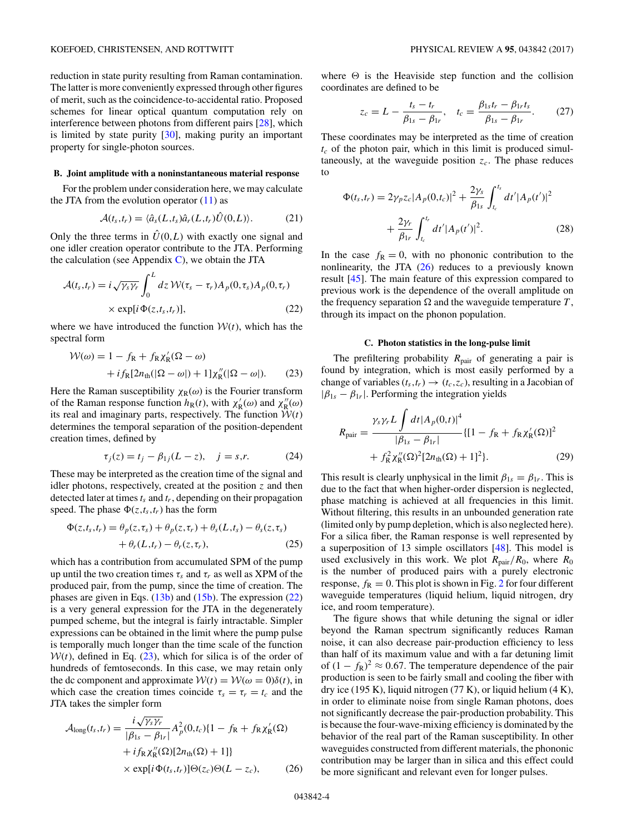<span id="page-4-0"></span>reduction in state purity resulting from Raman contamination. The latter is more conveniently expressed through other figures of merit, such as the coincidence-to-accidental ratio. Proposed schemes for linear optical quantum computation rely on interference between photons from different pairs [\[28\]](#page-12-0), which is limited by state purity [\[30\]](#page-12-0), making purity an important property for single-photon sources.

# **B. Joint amplitude with a noninstantaneous material response**

For the problem under consideration here, we may calculate the JTA from the evolution operator  $(11)$  as

$$
\mathcal{A}(t_s, t_r) = \langle \hat{a}_s(L, t_s) \hat{a}_r(L, t_r) \hat{U}(0, L) \rangle.
$$
 (21)

Only the three terms in  $\hat{U}(0,L)$  with exactly one signal and one idler creation operator contribute to the JTA. Performing the calculation (see Appendix  $C$ ), we obtain the JTA

$$
\mathcal{A}(t_s, t_r) = i \sqrt{\gamma_s \gamma_r} \int_0^L dz \, \mathcal{W}(\tau_s - \tau_r) A_p(0, \tau_s) A_p(0, \tau_r)
$$

$$
\times \exp[i \Phi(z, t_s, t_r)], \tag{22}
$$

where we have introduced the function  $W(t)$ , which has the spectral form

$$
\mathcal{W}(\omega) = 1 - f_{\mathcal{R}} + f_{\mathcal{R}} \chi_{\mathcal{R}}'(\Omega - \omega)
$$

$$
+ i f_{\mathcal{R}} [2n_{\text{th}}(|\Omega - \omega|) + 1] \chi_{\mathcal{R}}''(|\Omega - \omega|). \tag{23}
$$

Here the Raman susceptibility  $\chi_R(\omega)$  is the Fourier transform of the Raman response function  $h_R(t)$ , with  $\chi'_R(\omega)$  and  $\chi''_R(\omega)$ its real and imaginary parts, respectively. The function  $W(t)$ determines the temporal separation of the position-dependent creation times, defined by

$$
\tau_j(z) = t_j - \beta_{1j}(L - z), \quad j = s, r. \tag{24}
$$

These may be interpreted as the creation time of the signal and idler photons, respectively, created at the position *z* and then detected later at times*ts* and *tr*, depending on their propagation speed. The phase  $\Phi(z,t_s,t_r)$  has the form

$$
\Phi(z, t_s, t_r) = \theta_p(z, \tau_s) + \theta_p(z, \tau_r) + \theta_s(L, t_s) - \theta_s(z, \tau_s)
$$
  
+ 
$$
\theta_r(L, t_r) - \theta_r(z, \tau_r),
$$
 (25)

which has a contribution from accumulated SPM of the pump up until the two creation times  $\tau_s$  and  $\tau_r$  as well as XPM of the produced pair, from the pump, since the time of creation. The phases are given in Eqs. [\(13b\)](#page-3-0) and [\(15b\)](#page-3-0). The expression (22) is a very general expression for the JTA in the degenerately pumped scheme, but the integral is fairly intractable. Simpler expressions can be obtained in the limit where the pump pulse is temporally much longer than the time scale of the function  $W(t)$ , defined in Eq.  $(23)$ , which for silica is of the order of hundreds of femtoseconds. In this case, we may retain only the dc component and approximate  $W(t) = W(\omega = 0)\delta(t)$ , in which case the creation times coincide  $\tau_s = \tau_r = t_c$  and the JTA takes the simpler form

$$
\mathcal{A}_{\text{long}}(t_s, t_r) = \frac{i\sqrt{\gamma_s \gamma_r}}{|\beta_{1s} - \beta_{1r}|} A_p^2(0, t_c) \{1 - f_R + f_R \chi'_R(\Omega) + i f_R \chi''_R(\Omega) [2n_{\text{th}}(\Omega) + 1] \}
$$
  
 
$$
\times \exp[i \Phi(t_s, t_r)] \Theta(z_c) \Theta(L - z_c), \qquad (26)
$$

where  $\Theta$  is the Heaviside step function and the collision coordinates are defined to be

$$
z_c = L - \frac{t_s - t_r}{\beta_{1s} - \beta_{1r}}, \quad t_c = \frac{\beta_{1s}t_r - \beta_{1r}t_s}{\beta_{1s} - \beta_{1r}}.
$$
 (27)

These coordinates may be interpreted as the time of creation  $t_c$  of the photon pair, which in this limit is produced simultaneously, at the waveguide position  $z_c$ . The phase reduces to

$$
\Phi(t_s, t_r) = 2\gamma_p z_c |A_p(0, t_c)|^2 + \frac{2\gamma_s}{\beta_{1s}} \int_{t_c}^{t_s} dt' |A_p(t')|^2
$$
  
+ 
$$
\frac{2\gamma_r}{\beta_{1r}} \int_{t_c}^{t_r} dt' |A_p(t')|^2.
$$
 (28)

In the case  $f_R = 0$ , with no phononic contribution to the nonlinearity, the JTA  $(26)$  reduces to a previously known result [\[45\]](#page-12-0). The main feature of this expression compared to previous work is the dependence of the overall amplitude on the frequency separation  $\Omega$  and the waveguide temperature  $T$ , through its impact on the phonon population.

### **C. Photon statistics in the long-pulse limit**

The prefiltering probability *R*<sub>pair</sub> of generating a pair is found by integration, which is most easily performed by a change of variables  $(t_s,t_r) \rightarrow (t_c,z_c)$ , resulting in a Jacobian of  $|\beta_{1s} - \beta_{1r}|$ . Performing the integration yields

$$
R_{\text{pair}} = \frac{\gamma_s \gamma_r L \int dt |A_p(0, t)|^4}{|\beta_{1s} - \beta_{1r}|} \{ [1 - f_R + f_R \chi'_R(\Omega)]^2 + f_R^2 \chi''_R(\Omega)^2 [2n_{\text{th}}(\Omega) + 1]^2 \}.
$$
 (29)

This result is clearly unphysical in the limit  $\beta_{1s} = \beta_{1r}$ . This is due to the fact that when higher-order dispersion is neglected, phase matching is achieved at all frequencies in this limit. Without filtering, this results in an unbounded generation rate (limited only by pump depletion, which is also neglected here). For a silica fiber, the Raman response is well represented by a superposition of 13 simple oscillators [\[48\]](#page-12-0). This model is used exclusively in this work. We plot  $R_{\text{pair}}/R_0$ , where  $R_0$ is the number of produced pairs with a purely electronic response,  $f_{\rm R} = 0$ . This plot is shown in Fig. [2](#page-5-0) for four different waveguide temperatures (liquid helium, liquid nitrogen, dry ice, and room temperature).

The figure shows that while detuning the signal or idler beyond the Raman spectrum significantly reduces Raman noise, it can also decrease pair-production efficiency to less than half of its maximum value and with a far detuning limit of  $(1 - f_R)^2 \approx 0.67$ . The temperature dependence of the pair production is seen to be fairly small and cooling the fiber with dry ice (195 K), liquid nitrogen (77 K), or liquid helium (4 K), in order to eliminate noise from single Raman photons, does not significantly decrease the pair-production probability. This is because the four-wave-mixing efficiency is dominated by the behavior of the real part of the Raman susceptibility. In other waveguides constructed from different materials, the phononic contribution may be larger than in silica and this effect could be more significant and relevant even for longer pulses.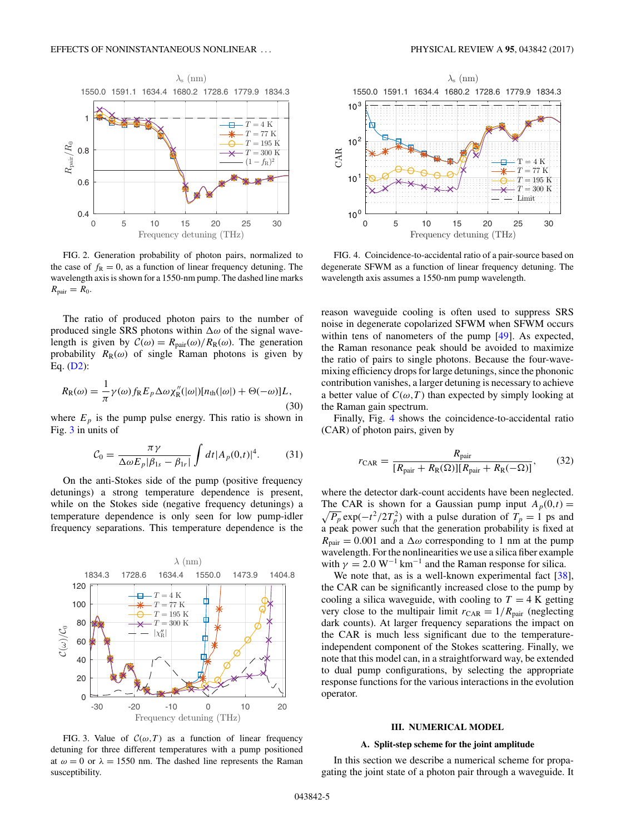<span id="page-5-0"></span>

FIG. 2. Generation probability of photon pairs, normalized to the case of  $f_R = 0$ , as a function of linear frequency detuning. The wavelength axis is shown for a 1550-nm pump. The dashed line marks  $R_{\text{pair}} = R_0$ .

The ratio of produced photon pairs to the number of produced single SRS photons within  $\Delta\omega$  of the signal wavelength is given by  $C(\omega) = R_{\text{pair}}(\omega)/R_{\text{R}}(\omega)$ . The generation probability  $R_R(\omega)$  of single Raman photons is given by Eq. [\(D2\)](#page-11-0):

$$
R_{\rm R}(\omega) = \frac{1}{\pi} \gamma(\omega) f_{\rm R} E_p \Delta \omega \chi_{\rm R}''(|\omega|) [n_{\rm th}(|\omega|) + \Theta(-\omega)]L,
$$
\n(30)

where  $E_p$  is the pump pulse energy. This ratio is shown in Fig. 3 in units of

$$
\mathcal{C}_0 = \frac{\pi \gamma}{\Delta \omega E_p |\beta_{1s} - \beta_{1r}|} \int dt |A_p(0, t)|^4. \tag{31}
$$

On the anti-Stokes side of the pump (positive frequency detunings) a strong temperature dependence is present, while on the Stokes side (negative frequency detunings) a temperature dependence is only seen for low pump-idler frequency separations. This temperature dependence is the



FIG. 3. Value of  $C(\omega, T)$  as a function of linear frequency detuning for three different temperatures with a pump positioned at  $\omega = 0$  or  $\lambda = 1550$  nm. The dashed line represents the Raman susceptibility.



FIG. 4. Coincidence-to-accidental ratio of a pair-source based on degenerate SFWM as a function of linear frequency detuning. The wavelength axis assumes a 1550-nm pump wavelength.

reason waveguide cooling is often used to suppress SRS noise in degenerate copolarized SFWM when SFWM occurs within tens of nanometers of the pump [\[49\]](#page-12-0). As expected, the Raman resonance peak should be avoided to maximize the ratio of pairs to single photons. Because the four-wavemixing efficiency drops for large detunings, since the phononic contribution vanishes, a larger detuning is necessary to achieve a better value of  $C(\omega,T)$  than expected by simply looking at the Raman gain spectrum.

Finally, Fig. 4 shows the coincidence-to-accidental ratio (CAR) of photon pairs, given by

$$
r_{\text{CAR}} = \frac{R_{\text{pair}}}{[R_{\text{pair}} + R_{\text{R}}(\Omega)][R_{\text{pair}} + R_{\text{R}}(-\Omega)]},\tag{32}
$$

where the detector dark-count accidents have been neglected. The CAR is shown for a Gaussian pump input  $A_p(0,t) =$  $\sqrt{P_p}$  exp( $-t^2/2T_p^2$ ) with a pulse duration of  $T_p = 1$  ps and a peak power such that the generation probability is fixed at  $R_{\text{pair}} = 0.001$  and a  $\Delta \omega$  corresponding to 1 nm at the pump wavelength. For the nonlinearities we use a silica fiber example with  $\gamma = 2.0 \text{ W}^{-1} \text{ km}^{-1}$  and the Raman response for silica.

We note that, as is a well-known experimental fact [\[38\]](#page-12-0), the CAR can be significantly increased close to the pump by cooling a silica waveguide, with cooling to  $T = 4$  K getting very close to the multipair limit  $r_{\text{CAR}} = 1/R_{\text{pair}}$  (neglecting dark counts). At larger frequency separations the impact on the CAR is much less significant due to the temperatureindependent component of the Stokes scattering. Finally, we note that this model can, in a straightforward way, be extended to dual pump configurations, by selecting the appropriate response functions for the various interactions in the evolution operator.

#### **III. NUMERICAL MODEL**

### **A. Split-step scheme for the joint amplitude**

In this section we describe a numerical scheme for propagating the joint state of a photon pair through a waveguide. It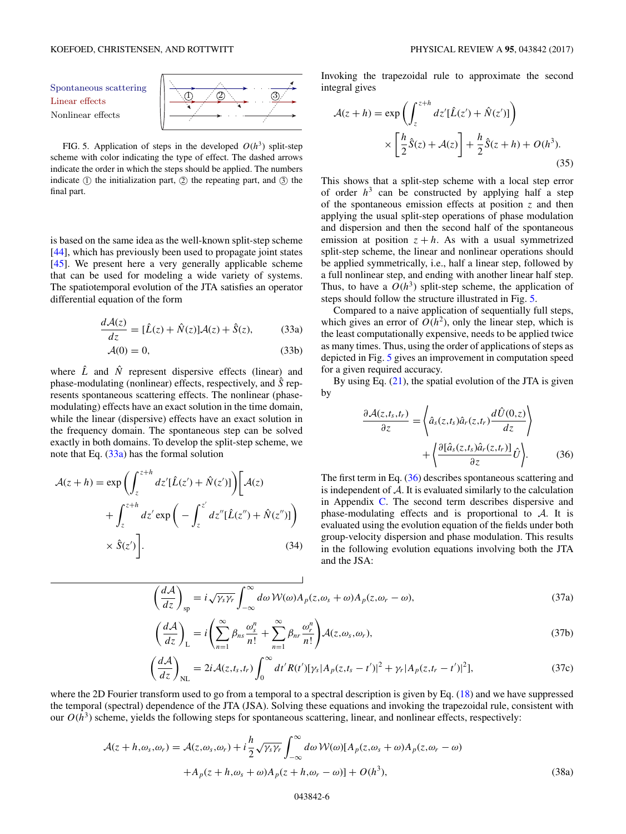Spontaneous scattering Nonlinear effects



FIG. 5. Application of steps in the developed  $O(h^3)$  split-step scheme with color indicating the type of effect. The dashed arrows indicate the order in which the steps should be applied. The numbers indicate  $\circled{1}$  the initialization part,  $\circled{2}$  the repeating part, and  $\circled{3}$  the final part.

is based on the same idea as the well-known split-step scheme [\[44\]](#page-12-0), which has previously been used to propagate joint states [\[45\]](#page-12-0). We present here a very generally applicable scheme that can be used for modeling a wide variety of systems. The spatiotemporal evolution of the JTA satisfies an operator differential equation of the form

$$
\frac{d\mathcal{A}(z)}{dz} = [\hat{L}(z) + \hat{N}(z)]\mathcal{A}(z) + \hat{S}(z),\tag{33a}
$$

$$
\mathcal{A}(0) = 0,\tag{33b}
$$

where  $\hat{L}$  and  $\hat{N}$  represent dispersive effects (linear) and phase-modulating (nonlinear) effects, respectively, and *S*ˆ represents spontaneous scattering effects. The nonlinear (phasemodulating) effects have an exact solution in the time domain, while the linear (dispersive) effects have an exact solution in the frequency domain. The spontaneous step can be solved exactly in both domains. To develop the split-step scheme, we note that Eq. (33a) has the formal solution

$$
\mathcal{A}(z+h) = \exp\left(\int_{z}^{z+h} dz' [\hat{L}(z') + \hat{N}(z')] \right) \left[ \mathcal{A}(z) + \int_{z}^{z+h} dz' \exp\left(-\int_{z}^{z'} dz'' [\hat{L}(z'') + \hat{N}(z'')] \right) \times \hat{S}(z') \right].
$$
\n(34)

Invoking the trapezoidal rule to approximate the second integral gives

$$
\mathcal{A}(z+h) = \exp\left(\int_{z}^{z+h} dz' [\hat{L}(z') + \hat{N}(z')] \right)
$$

$$
\times \left[ \frac{h}{2} \hat{S}(z) + \mathcal{A}(z) \right] + \frac{h}{2} \hat{S}(z+h) + O(h^3).
$$
(35)

This shows that a split-step scheme with a local step error of order  $h<sup>3</sup>$  can be constructed by applying half a step of the spontaneous emission effects at position *z* and then applying the usual split-step operations of phase modulation and dispersion and then the second half of the spontaneous emission at position  $z + h$ . As with a usual symmetrized split-step scheme, the linear and nonlinear operations should be applied symmetrically, i.e., half a linear step, followed by a full nonlinear step, and ending with another linear half step. Thus, to have a  $O(h^3)$  split-step scheme, the application of steps should follow the structure illustrated in Fig. 5.

Compared to a naive application of sequentially full steps, which gives an error of  $O(h^2)$ , only the linear step, which is the least computationally expensive, needs to be applied twice as many times. Thus, using the order of applications of steps as depicted in Fig. 5 gives an improvement in computation speed for a given required accuracy.

By using Eq.  $(21)$ , the spatial evolution of the JTA is given by

$$
\frac{\partial \mathcal{A}(z,t_s,t_r)}{\partial z} = \left\langle \hat{a}_s(z,t_s)\hat{a}_r(z,t_r) \frac{d\hat{U}(0,z)}{dz} \right\rangle + \left\langle \frac{\partial [\hat{a}_s(z,t_s)\hat{a}_r(z,t_r)]}{\partial z} \hat{U} \right\rangle.
$$
(36)

The first term in Eq. (36) describes spontaneous scattering and is independent of  $A$ . It is evaluated similarly to the calculation in Appendix [C.](#page-10-0) The second term describes dispersive and phase-modulating effects and is proportional to  $A$ . It is evaluated using the evolution equation of the fields under both group-velocity dispersion and phase modulation. This results in the following evolution equations involving both the JTA and the JSA:

$$
\left(\frac{d\mathcal{A}}{dz}\right)_{\rm sp} = i\sqrt{\gamma_s\gamma_r} \int_{-\infty}^{\infty} d\omega \, \mathcal{W}(\omega) A_p(z,\omega_s + \omega) A_p(z,\omega_r - \omega),\tag{37a}
$$

$$
\left(\frac{d\mathcal{A}}{dz}\right)_L = i \left(\sum_{n=1}^{\infty} \beta_{ns} \frac{\omega_s^n}{n!} + \sum_{n=1}^{\infty} \beta_{nr} \frac{\omega_r^n}{n!}\right) \mathcal{A}(z, \omega_s, \omega_r),\tag{37b}
$$

$$
\left(\frac{d\mathcal{A}}{dz}\right)_{\text{NL}} = 2i\mathcal{A}(z,t_s,t_r)\int_0^\infty dt'R(t')[\gamma_s|A_p(z,t_s-t')|^2 + \gamma_r|A_p(z,t_r-t')|^2],\tag{37c}
$$

where the 2D Fourier transform used to go from a temporal to a spectral description is given by Eq. [\(18\)](#page-3-0) and we have suppressed the temporal (spectral) dependence of the JTA (JSA). Solving these equations and invoking the trapezoidal rule, consistent with our  $O(h^3)$  scheme, yields the following steps for spontaneous scattering, linear, and nonlinear effects, respectively:

$$
\mathcal{A}(z+h,\omega_s,\omega_r) = \mathcal{A}(z,\omega_s,\omega_r) + i\frac{h}{2}\sqrt{\gamma_s\gamma_r} \int_{-\infty}^{\infty} d\omega \, \mathcal{W}(\omega)[A_p(z,\omega_s+\omega)A_p(z,\omega_r-\omega) \n+ A_p(z+h,\omega_s+\omega)A_p(z+h,\omega_r-\omega)] + O(h^3),
$$
\n(38a)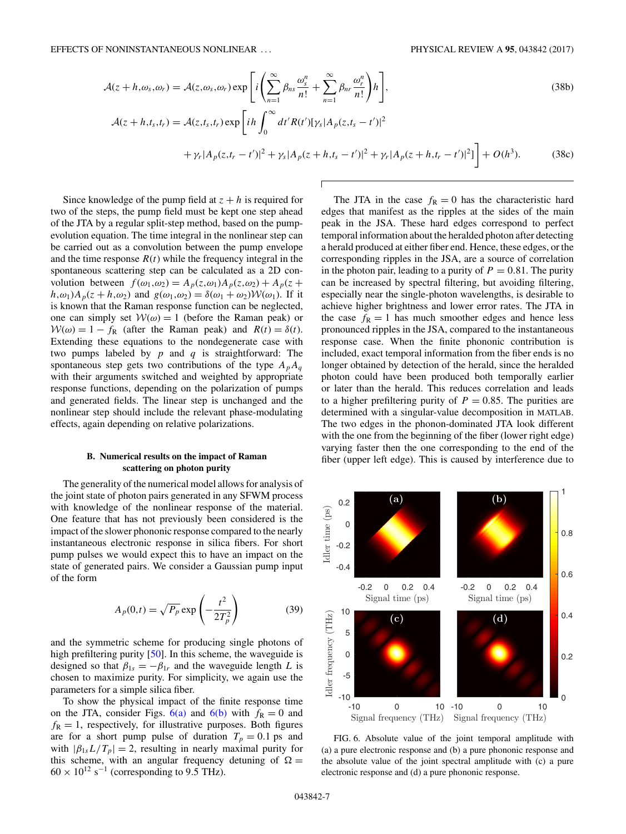$$
\mathcal{A}(z+h,\omega_s,\omega_r) = \mathcal{A}(z,\omega_s,\omega_r) \exp\left[i\left(\sum_{n=1}^{\infty} \beta_{ns} \frac{\omega_s^n}{n!} + \sum_{n=1}^{\infty} \beta_{nr} \frac{\omega_r^n}{n!}\right)h\right],\tag{38b}
$$

$$
\mathcal{A}(z+h,t_s,t_r) = \mathcal{A}(z,t_s,t_r) \exp\left[ih \int_0^\infty dt' R(t')[\gamma_s | A_p(z,t_s - t')]^2 + \gamma_r |A_p(z,t_r - t')|^2 + \gamma_s |A_p(z+h,t_s - t')|^2 + \gamma_r |A_p(z+h,t_r - t')|^2]\right] + O(h^3).
$$
(38c)

f

Since knowledge of the pump field at  $z + h$  is required for two of the steps, the pump field must be kept one step ahead of the JTA by a regular split-step method, based on the pumpevolution equation. The time integral in the nonlinear step can be carried out as a convolution between the pump envelope and the time response  $R(t)$  while the frequency integral in the spontaneous scattering step can be calculated as a 2D convolution between  $f(\omega_1, \omega_2) = A_p(z, \omega_1) A_p(z, \omega_2) + A_p(z +$  $h, \omega_1$ )*A<sub>p</sub>*(*z* + *h*, $\omega_2$ ) and  $g(\omega_1, \omega_2) = \delta(\omega_1 + \omega_2)W(\omega_1)$ . If it is known that the Raman response function can be neglected, one can simply set  $W(\omega) = 1$  (before the Raman peak) or  $W(\omega) = 1 - f_R$  (after the Raman peak) and  $R(t) = \delta(t)$ . Extending these equations to the nondegenerate case with two pumps labeled by *p* and *q* is straightforward: The spontaneous step gets two contributions of the type  $A_pA_q$ with their arguments switched and weighted by appropriate response functions, depending on the polarization of pumps and generated fields. The linear step is unchanged and the nonlinear step should include the relevant phase-modulating effects, again depending on relative polarizations.

# **B. Numerical results on the impact of Raman scattering on photon purity**

The generality of the numerical model allows for analysis of the joint state of photon pairs generated in any SFWM process with knowledge of the nonlinear response of the material. One feature that has not previously been considered is the impact of the slower phononic response compared to the nearly instantaneous electronic response in silica fibers. For short pump pulses we would expect this to have an impact on the state of generated pairs. We consider a Gaussian pump input of the form

$$
A_p(0,t) = \sqrt{P_p} \exp\left(-\frac{t^2}{2T_p^2}\right) \tag{39}
$$

and the symmetric scheme for producing single photons of high prefiltering purity [\[50\]](#page-12-0). In this scheme, the waveguide is designed so that  $\beta_{1s} = -\beta_{1r}$  and the waveguide length *L* is chosen to maximize purity. For simplicity, we again use the parameters for a simple silica fiber.

To show the physical impact of the finite response time on the JTA, consider Figs.  $6(a)$  and  $6(b)$  with  $f<sub>R</sub> = 0$  and  $f_{\rm R} = 1$ , respectively, for illustrative purposes. Both figures are for a short pump pulse of duration  $T_p = 0.1$  ps and with  $|\beta_{1s}L/T_p| = 2$ , resulting in nearly maximal purity for this scheme, with an angular frequency detuning of  $\Omega =$  $60 \times 10^{12}$  s<sup>-1</sup> (corresponding to 9.5 THz).

The JTA in the case  $f_R = 0$  has the characteristic hard edges that manifest as the ripples at the sides of the main peak in the JSA. These hard edges correspond to perfect temporal information about the heralded photon after detecting a herald produced at either fiber end. Hence, these edges, or the corresponding ripples in the JSA, are a source of correlation in the photon pair, leading to a purity of  $P = 0.81$ . The purity can be increased by spectral filtering, but avoiding filtering, especially near the single-photon wavelengths, is desirable to achieve higher brightness and lower error rates. The JTA in the case  $f_{\rm R} = 1$  has much smoother edges and hence less pronounced ripples in the JSA, compared to the instantaneous response case. When the finite phononic contribution is included, exact temporal information from the fiber ends is no longer obtained by detection of the herald, since the heralded photon could have been produced both temporally earlier or later than the herald. This reduces correlation and leads to a higher prefiltering purity of  $P = 0.85$ . The purities are determined with a singular-value decomposition in MATLAB. The two edges in the phonon-dominated JTA look different with the one from the beginning of the fiber (lower right edge) varying faster then the one corresponding to the end of the fiber (upper left edge). This is caused by interference due to



FIG. 6. Absolute value of the joint temporal amplitude with (a) a pure electronic response and (b) a pure phononic response and the absolute value of the joint spectral amplitude with (c) a pure electronic response and (d) a pure phononic response.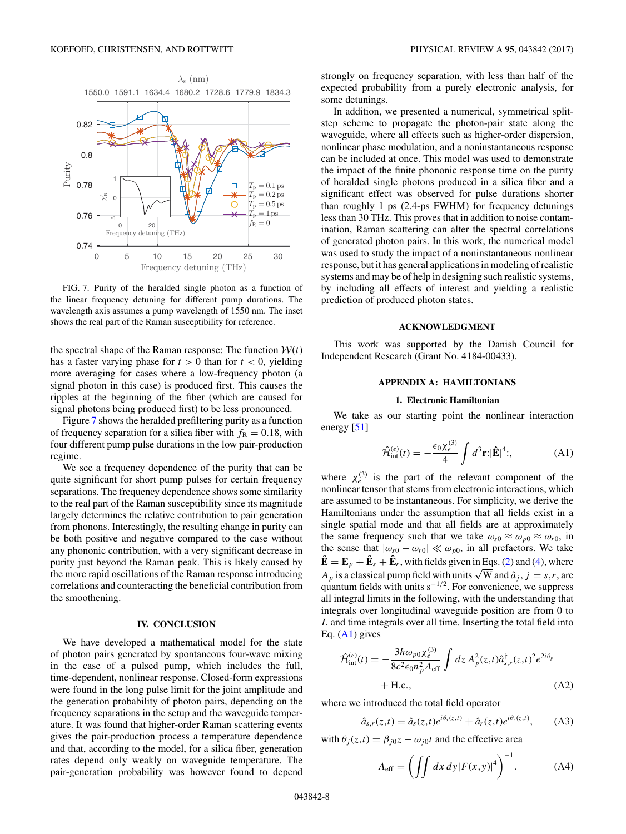<span id="page-8-0"></span>

FIG. 7. Purity of the heralded single photon as a function of the linear frequency detuning for different pump durations. The wavelength axis assumes a pump wavelength of 1550 nm. The inset shows the real part of the Raman susceptibility for reference.

the spectral shape of the Raman response: The function  $W(t)$ has a faster varying phase for  $t > 0$  than for  $t < 0$ , yielding more averaging for cases where a low-frequency photon (a signal photon in this case) is produced first. This causes the ripples at the beginning of the fiber (which are caused for signal photons being produced first) to be less pronounced.

Figure 7 shows the heralded prefiltering purity as a function of frequency separation for a silica fiber with  $f_R = 0.18$ , with four different pump pulse durations in the low pair-production regime.

We see a frequency dependence of the purity that can be quite significant for short pump pulses for certain frequency separations. The frequency dependence shows some similarity to the real part of the Raman susceptibility since its magnitude largely determines the relative contribution to pair generation from phonons. Interestingly, the resulting change in purity can be both positive and negative compared to the case without any phononic contribution, with a very significant decrease in purity just beyond the Raman peak. This is likely caused by the more rapid oscillations of the Raman response introducing correlations and counteracting the beneficial contribution from the smoothening.

#### **IV. CONCLUSION**

We have developed a mathematical model for the state of photon pairs generated by spontaneous four-wave mixing in the case of a pulsed pump, which includes the full, time-dependent, nonlinear response. Closed-form expressions were found in the long pulse limit for the joint amplitude and the generation probability of photon pairs, depending on the frequency separations in the setup and the waveguide temperature. It was found that higher-order Raman scattering events gives the pair-production process a temperature dependence and that, according to the model, for a silica fiber, generation rates depend only weakly on waveguide temperature. The pair-generation probability was however found to depend strongly on frequency separation, with less than half of the expected probability from a purely electronic analysis, for some detunings.

In addition, we presented a numerical, symmetrical splitstep scheme to propagate the photon-pair state along the waveguide, where all effects such as higher-order dispersion, nonlinear phase modulation, and a noninstantaneous response can be included at once. This model was used to demonstrate the impact of the finite phononic response time on the purity of heralded single photons produced in a silica fiber and a significant effect was observed for pulse durations shorter than roughly 1 ps (2.4-ps FWHM) for frequency detunings less than 30 THz. This proves that in addition to noise contamination, Raman scattering can alter the spectral correlations of generated photon pairs. In this work, the numerical model was used to study the impact of a noninstantaneous nonlinear response, but it has general applications in modeling of realistic systems and may be of help in designing such realistic systems, by including all effects of interest and yielding a realistic prediction of produced photon states.

## **ACKNOWLEDGMENT**

This work was supported by the Danish Council for Independent Research (Grant No. 4184-00433).

# **APPENDIX A: HAMILTONIANS**

## **1. Electronic Hamiltonian**

We take as our starting point the nonlinear interaction energy [\[51\]](#page-12-0)

$$
\hat{\mathcal{H}}_{\text{int}}^{(e)}(t) = -\frac{\epsilon_0 \chi_e^{(3)}}{4} \int d^3 \mathbf{r} \, |\mathbf{\hat{E}}|^4; \tag{A1}
$$

where  $\chi_e^{(3)}$  is the part of the relevant component of the nonlinear tensor that stems from electronic interactions, which are assumed to be instantaneous. For simplicity, we derive the Hamiltonians under the assumption that all fields exist in a single spatial mode and that all fields are at approximately the same frequency such that we take  $\omega_{s0} \approx \omega_{p0} \approx \omega_{r0}$ , in the sense that  $|\omega_{s0} - \omega_{r0}| \ll \omega_{p0}$ , in all prefactors. We take  $\mathbf{\hat{E}} = \mathbf{E}_p + \mathbf{\hat{E}}_s + \mathbf{\hat{E}}_r$ , with fields given in Eqs. [\(2\)](#page-2-0) and [\(4\)](#page-2-0), where *A<sub>p</sub>* is a classical pump field with units  $\sqrt{W}$  and  $\hat{a}_j$ ,  $j = s, r$ , are quantum fields with units s<sup>−1/2</sup>. For convenience, we suppress all integral limits in the following, with the understanding that integrals over longitudinal waveguide position are from 0 to *L* and time integrals over all time. Inserting the total field into Eq.  $(A1)$  gives

$$
\hat{\mathcal{H}}_{int}^{(e)}(t) = -\frac{3\hbar\omega_{p0}\chi_e^{(3)}}{8c^2\epsilon_0 n_p^2 A_{\text{eff}}} \int dz A_p^2(z,t)\hat{a}_{s,r}^{\dagger}(z,t)^2 e^{2i\theta_p} + \text{H.c.,}
$$
\n(A2)

where we introduced the total field operator

$$
\hat{a}_{s,r}(z,t) = \hat{a}_s(z,t)e^{i\theta_s(z,t)} + \hat{a}_r(z,t)e^{i\theta_r(z,t)}, \quad (A3)
$$

with  $\theta_i(z,t) = \beta_{i0}z - \omega_{i0}t$  and the effective area

$$
A_{\text{eff}} = \left( \iint dx \, dy |F(x, y)|^4 \right)^{-1}.
$$
 (A4)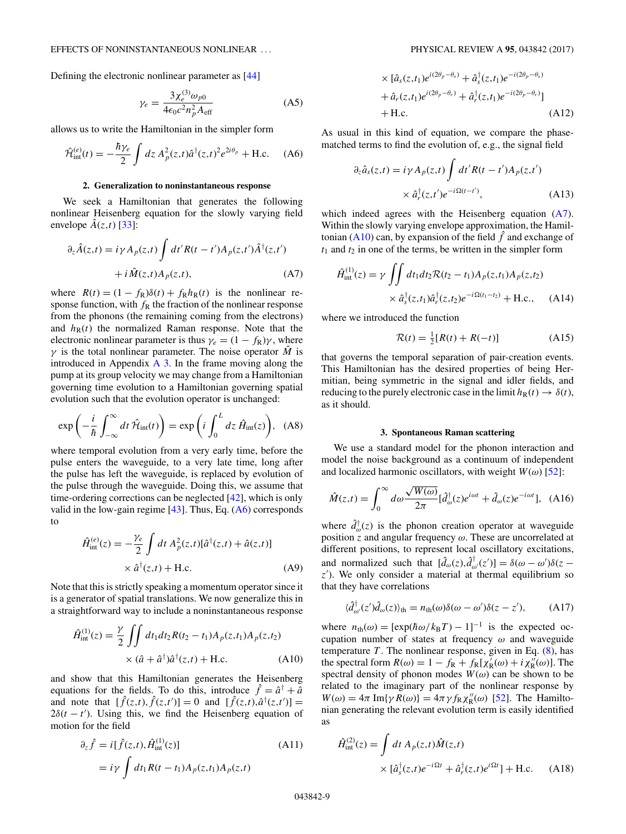<span id="page-9-0"></span>Defining the electronic nonlinear parameter as [\[44\]](#page-12-0)

$$
\gamma_e = \frac{3\chi_e^{(3)}\omega_{p0}}{4\epsilon_0 c^2 n_p^2 A_{\text{eff}}}
$$
(A5)

allows us to write the Hamiltonian in the simpler form

$$
\hat{\mathcal{H}}_{int}^{(e)}(t) = -\frac{\hbar \gamma_e}{2} \int dz \, A_p^2(z, t) \hat{a}^\dagger(z, t)^2 e^{2i\theta_p} + \text{H.c.} \tag{A6}
$$

### **2. Generalization to noninstantaneous response**

We seek a Hamiltonian that generates the following nonlinear Heisenberg equation for the slowly varying field envelope  $\hat{A}(z,t)$  [\[33\]](#page-12-0):

$$
\partial_z \hat{A}(z,t) = i\gamma A_p(z,t) \int dt' R(t-t') A_p(z,t') \hat{A}^\dagger(z,t')
$$

$$
+ i \hat{M}(z,t) A_p(z,t), \tag{A7}
$$

where  $R(t) = (1 - f_R)\delta(t) + f_R h_R(t)$  is the nonlinear response function, with  $f_R$  the fraction of the nonlinear response from the phonons (the remaining coming from the electrons) and  $h_R(t)$  the normalized Raman response. Note that the electronic nonlinear parameter is thus  $\gamma_e = (1 - f_R)\gamma$ , where *γ* is the total nonlinear parameter. The noise operator  $\hat{M}$  is introduced in Appendix  $\overline{A}$  3. In the frame moving along the pump at its group velocity we may change from a Hamiltonian governing time evolution to a Hamiltonian governing spatial evolution such that the evolution operator is unchanged:

$$
\exp\left(-\frac{i}{\hbar}\int_{-\infty}^{\infty}dt\,\hat{\mathcal{H}}_{\rm int}(t)\right) = \exp\left(i\int_{0}^{L}dz\,\hat{H}_{\rm int}(z)\right), \quad \text{(A8)}
$$

where temporal evolution from a very early time, before the pulse enters the waveguide, to a very late time, long after the pulse has left the waveguide, is replaced by evolution of the pulse through the waveguide. Doing this, we assume that time-ordering corrections can be neglected [\[42\]](#page-12-0), which is only valid in the low-gain regime [\[43\]](#page-12-0). Thus, Eq. (A6) corresponds to

$$
\hat{H}_{int}^{(e)}(z) = -\frac{\gamma_e}{2} \int dt \, A_p^2(z,t) [\hat{a}^\dagger(z,t) + \hat{a}(z,t)]
$$

$$
\times \hat{a}^\dagger(z,t) + \text{H.c.}
$$
 (A9)

Note that this is strictly speaking a momentum operator since it is a generator of spatial translations. We now generalize this in a straightforward way to include a noninstantaneous response

$$
\hat{H}_{int}^{(1)}(z) = \frac{\gamma}{2} \iint dt_1 dt_2 R(t_2 - t_1) A_p(z, t_1) A_p(z, t_2)
$$
  
 
$$
\times (\hat{a} + \hat{a}^\dagger) \hat{a}^\dagger(z, t) + \text{H.c.}
$$
 (A10)

and show that this Hamiltonian generates the Heisenberg equations for the fields. To do this, introduce  $\hat{f} = \hat{a}^{\dagger} + \hat{a}$ and note that  $[\hat{f}(z,t), \hat{f}(z,t')] = 0$  and  $[\hat{f}(z,t), \hat{a}^\dagger(z,t')] =$  $2\delta(t - t')$ . Using this, we find the Heisenberg equation of motion for the field

$$
\partial_z \hat{f} = i[\hat{f}(z,t), \hat{H}_{int}^{(1)}(z)] \tag{A11}
$$
\n
$$
= i\gamma \int dt_1 R(t - t_1) A_p(z, t_1) A_p(z, t)
$$

$$
\times [\hat{a}_s(z,t_1)e^{i(2\theta_p-\theta_s)} + \hat{a}_s^{\dagger}(z,t_1)e^{-i(2\theta_p-\theta_s)}
$$
  
+ 
$$
\hat{a}_r(z,t_1)e^{i(2\theta_p-\theta_r)} + \hat{a}_r^{\dagger}(z,t_1)e^{-i(2\theta_p-\theta_r)}]
$$
  
+ H.c. (A12)

As usual in this kind of equation, we compare the phasematched terms to find the evolution of, e.g., the signal field

$$
\partial_z \hat{a}_s(z,t) = i \gamma A_p(z,t) \int dt' R(t-t') A_p(z,t')
$$
  
 
$$
\times \hat{a}_r^{\dagger}(z,t') e^{-i\Omega(t-t')},
$$
 (A13)

which indeed agrees with the Heisenberg equation (A7). Within the slowly varying envelope approximation, the Hamiltonian (A10) can, by expansion of the field  $\hat{f}$  and exchange of  $t_1$  and  $t_2$  in one of the terms, be written in the simpler form

$$
\hat{H}_{int}^{(1)}(z) = \gamma \iint dt_1 dt_2 \mathcal{R}(t_2 - t_1) A_p(z, t_1) A_p(z, t_2)
$$

$$
\times \hat{a}_s^{\dagger}(z, t_1) \hat{a}_r^{\dagger}(z, t_2) e^{-i\Omega(t_1 - t_2)} + \text{H.c.}, \quad (A14)
$$

where we introduced the function

$$
\mathcal{R}(t) = \frac{1}{2}[R(t) + R(-t)] \tag{A15}
$$

that governs the temporal separation of pair-creation events. This Hamiltonian has the desired properties of being Hermitian, being symmetric in the signal and idler fields, and reducing to the purely electronic case in the limit  $h_R(t) \to \delta(t)$ , as it should.

#### **3. Spontaneous Raman scattering**

We use a standard model for the phonon interaction and model the noise background as a continuum of independent and localized harmonic oscillators, with weight  $W(\omega)$  [\[52\]](#page-12-0):

$$
\hat{M}(z,t) = \int_0^\infty d\omega \frac{\sqrt{W(\omega)}}{2\pi} [\hat{d}^\dagger_\omega(z)e^{i\omega t} + \hat{d}_\omega(z)e^{-i\omega t}], \quad (A16)
$$

where  $\hat{d}^{\dagger}_{\omega}(z)$  is the phonon creation operator at waveguide position *z* and angular frequency *ω*. These are uncorrelated at different positions, to represent local oscillatory excitations, and normalized such that  $[\hat{d}_{\omega}(z), \hat{d}_{\omega}^{\dagger}(z')] = \delta(\omega - \omega')\delta(z - \omega')$ z<sup>'</sup>). We only consider a material at thermal equilibrium so that they have correlations

$$
\langle \hat{d}^{\dagger}_{\omega'}(z')\hat{d}_{\omega}(z)\rangle_{\text{th}} = n_{\text{th}}(\omega)\delta(\omega - \omega')\delta(z - z'), \quad (A17)
$$

where  $n_{\text{th}}(\omega) = [\exp(\hbar \omega / k_{\text{B}}T) - 1]^{-1}$  is the expected occupation number of states at frequency *ω* and waveguide temperature  $T$ . The nonlinear response, given in Eq.  $(8)$ , has the spectral form  $R(\omega) = 1 - f_R + f_R[\chi_R^{\gamma}(\omega) + i\chi_R^{\gamma}(\omega)]$ . The spectral density of phonon modes  $W(\omega)$  can be shown to be related to the imaginary part of the nonlinear response by  $W(\omega) = 4\pi \operatorname{Im} \{ \gamma R(\omega) \} = 4\pi \gamma f_R \chi_R''(\omega)$  [\[52\]](#page-12-0). The Hamiltonian generating the relevant evolution term is easily identified as

$$
\hat{H}^{(2)}_{\text{int}}(z) = \int dt \, A_p(z,t) \hat{M}(z,t) \times [\hat{a}_s^\dagger(z,t)e^{-i\Omega t} + \hat{a}_r^\dagger(z,t)e^{i\Omega t}] + \text{H.c.} \tag{A18}
$$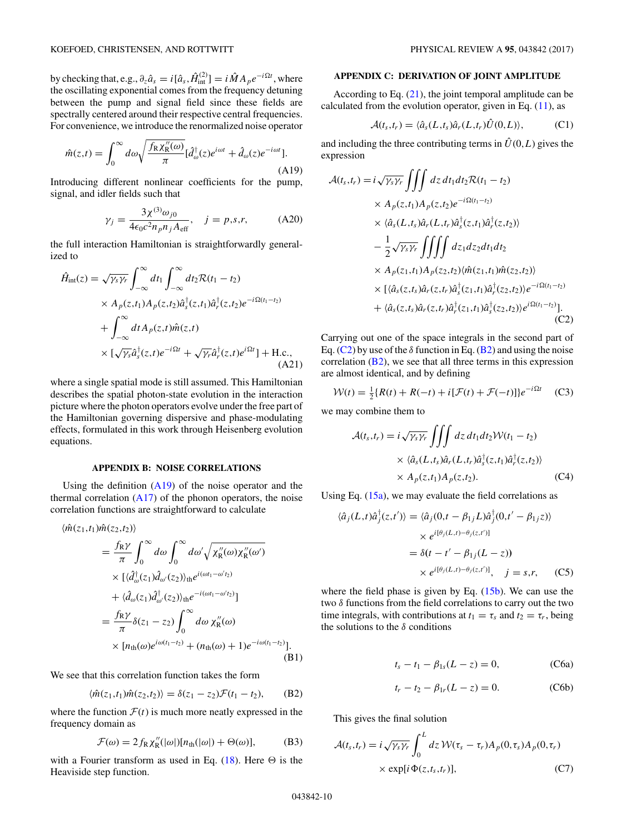<span id="page-10-0"></span>by checking that, e.g.,  $\partial_z \hat{a}_s = i[\hat{a}_s, \hat{H}_{int}^{(2)}] = i \hat{M} A_p e^{-i\Omega t}$ , where the oscillating exponential comes from the frequency detuning between the pump and signal field since these fields are spectrally centered around their respective central frequencies. For convenience, we introduce the renormalized noise operator

$$
\hat{m}(z,t) = \int_0^\infty d\omega \sqrt{\frac{f_R \chi_R''(\omega)}{\pi}} [\hat{d}_\omega^\dagger(z)e^{i\omega t} + \hat{d}_\omega(z)e^{-i\omega t}].
$$
\n(A19)

Introducing different nonlinear coefficients for the pump, signal, and idler fields such that

$$
\gamma_j = \frac{3\chi^{(3)}\omega_{j0}}{4\epsilon_0 c^2 n_p n_j A_{\text{eff}}}, \quad j = p, s, r,
$$
 (A20)

the full interaction Hamiltonian is straightforwardly generalized to

 $^{\circ}$  ∞

$$
\hat{H}_{int}(z) = \sqrt{\gamma_s \gamma_r} \int_{-\infty}^{\infty} dt_1 \int_{-\infty}^{\infty} dt_2 \mathcal{R}(t_1 - t_2)
$$
\n
$$
\times A_p(z, t_1) A_p(z, t_2) \hat{a}_s^{\dagger}(z, t_1) \hat{a}_r^{\dagger}(z, t_2) e^{-i\Omega(t_1 - t_2)}
$$
\n
$$
+ \int_{-\infty}^{\infty} dt A_p(z, t) \hat{m}(z, t)
$$
\n
$$
\times [\sqrt{\gamma_s} \hat{a}_s^{\dagger}(z, t) e^{-i\Omega t} + \sqrt{\gamma_r} \hat{a}_r^{\dagger}(z, t) e^{i\Omega t}] + \text{H.c.}, \tag{A21}
$$

where a single spatial mode is still assumed. This Hamiltonian describes the spatial photon-state evolution in the interaction picture where the photon operators evolve under the free part of the Hamiltonian governing dispersive and phase-modulating effects, formulated in this work through Heisenberg evolution equations.

### **APPENDIX B: NOISE CORRELATIONS**

Using the definition  $(A19)$  of the noise operator and the thermal correlation  $(A17)$  of the phonon operators, the noise correlation functions are straightforward to calculate

$$
\langle \hat{m}(z_1, t_1) \hat{m}(z_2, t_2) \rangle
$$
\n
$$
= \frac{f_R \gamma}{\pi} \int_0^\infty d\omega \int_0^\infty d\omega' \sqrt{\chi_R''(\omega) \chi_R''(\omega')}
$$
\n
$$
\times \left[ \langle \hat{d}_\omega^\dagger(z_1) \hat{d}_{\omega'}(z_2) \rangle_{\text{th}} e^{i(\omega t_1 - \omega' t_2)} \right]
$$
\n
$$
+ \langle \hat{d}_\omega(z_1) \hat{d}_{\omega'}^\dagger(z_2) \rangle_{\text{th}} e^{-i(\omega t_1 - \omega' t_2)} \right]
$$
\n
$$
= \frac{f_R \gamma}{\pi} \delta(z_1 - z_2) \int_0^\infty d\omega \chi_R''(\omega)
$$
\n
$$
\times \left[ n_{\text{th}}(\omega) e^{i\omega(t_1 - t_2)} + (n_{\text{th}}(\omega) + 1) e^{-i\omega(t_1 - t_2)} \right].
$$
\n(B1)

We see that this correlation function takes the form

$$
\langle \hat{m}(z_1, t_1)\hat{m}(z_2, t_2)\rangle = \delta(z_1 - z_2)\mathcal{F}(t_1 - t_2), \quad \text{(B2)}
$$

where the function  $\mathcal{F}(t)$  is much more neatly expressed in the frequency domain as

$$
\mathcal{F}(\omega) = 2f_{\rm R} \chi_{\rm R}''(|\omega|)[n_{\rm th}(|\omega|) + \Theta(\omega)],\tag{B3}
$$

with a Fourier transform as used in Eq.  $(18)$ . Here  $\Theta$  is the Heaviside step function.

## **APPENDIX C: DERIVATION OF JOINT AMPLITUDE**

According to Eq.  $(21)$ , the joint temporal amplitude can be calculated from the evolution operator, given in Eq.  $(11)$ , as

$$
\mathcal{A}(t_s, t_r) = \langle \hat{a}_s(L, t_s) \hat{a}_r(L, t_r) \hat{U}(0, L) \rangle, \tag{C1}
$$

and including the three contributing terms in  $\hat{U}(0,L)$  gives the expression

$$
\mathcal{A}(t_s, t_r) = i \sqrt{\gamma_s \gamma_r} \iiint dz dt_1 dt_2 \mathcal{R}(t_1 - t_2)
$$
  
\n
$$
\times A_p(z, t_1) A_p(z, t_2) e^{-i\Omega(t_1 - t_2)}
$$
  
\n
$$
\times \langle \hat{a}_s(L, t_s) \hat{a}_r(L, t_r) \hat{a}_s^{\dagger}(z, t_1) \hat{a}_r^{\dagger}(z, t_2) \rangle
$$
  
\n
$$
- \frac{1}{2} \sqrt{\gamma_s \gamma_r} \iiint dz_1 dz_2 dt_1 dt_2
$$
  
\n
$$
\times A_p(z_1, t_1) A_p(z_2, t_2) \langle \hat{m}(z_1, t_1) \hat{m}(z_2, t_2) \rangle
$$
  
\n
$$
\times [\langle \hat{a}_s(z, t_s) \hat{a}_r(z, t_r) \hat{a}_s^{\dagger}(z_1, t_1) \hat{a}_r^{\dagger}(z_2, t_2) \rangle e^{-i\Omega(t_1 - t_2)}]
$$
  
\n
$$
+ \langle \hat{a}_s(z, t_s) \hat{a}_r(z, t_r) \hat{a}_r^{\dagger}(z_1, t_1) \hat{a}_s^{\dagger}(z_2, t_2) \rangle e^{i\Omega(t_1 - t_2)}].
$$
\n(C2)

Carrying out one of the space integrals in the second part of Eq. (C2) by use of the  $\delta$  function in Eq. (B2) and using the noise correlation  $(B2)$ , we see that all three terms in this expression are almost identical, and by defining

$$
W(t) = \frac{1}{2} \{ R(t) + R(-t) + i[\mathcal{F}(t) + \mathcal{F}(-t)] \} e^{-i\Omega t}
$$
 (C3)

we may combine them to

$$
\mathcal{A}(t_s, t_r) = i \sqrt{\gamma_s \gamma_r} \iiint dz dt_1 dt_2 \mathcal{W}(t_1 - t_2)
$$
  
 
$$
\times \langle \hat{a}_s(L, t_s) \hat{a}_r(L, t_r) \hat{a}_s^{\dagger}(z, t_1) \hat{a}_r^{\dagger}(z, t_2) \rangle
$$
  
 
$$
\times A_p(z, t_1) A_p(z, t_2).
$$
 (C4)

Using Eq.  $(15a)$ , we may evaluate the field correlations as

$$
\langle \hat{a}_j(L,t)\hat{a}_j^{\dagger}(z,t')\rangle = \langle \hat{a}_j(0,t-\beta_{1j}L)\hat{a}_j^{\dagger}(0,t'-\beta_{1j}z)\rangle
$$

$$
\times e^{i[\theta_j(L,t)-\theta_j(z,t')]}
$$

$$
= \delta(t-t'-\beta_{1j}(L-z))
$$

$$
\times e^{i[\theta_j(L,t)-\theta_j(z,t')]}, \quad j=s,r,
$$
 (C5)

where the field phase is given by Eq. [\(15b\)](#page-3-0). We can use the two *δ* functions from the field correlations to carry out the two time integrals, with contributions at  $t_1 = \tau_s$  and  $t_2 = \tau_r$ , being the solutions to the *δ* conditions

$$
t_s - t_1 - \beta_{1s}(L - z) = 0,
$$
 (C6a)

$$
t_r - t_2 - \beta_{1r}(L - z) = 0.
$$
 (C6b)

This gives the final solution

$$
\mathcal{A}(t_s, t_r) = i \sqrt{\gamma_s \gamma_r} \int_0^L dz \, \mathcal{W}(\tau_s - \tau_r) A_p(0, \tau_s) A_p(0, \tau_r)
$$

$$
\times \exp[i \Phi(z, t_s, t_r)], \tag{C7}
$$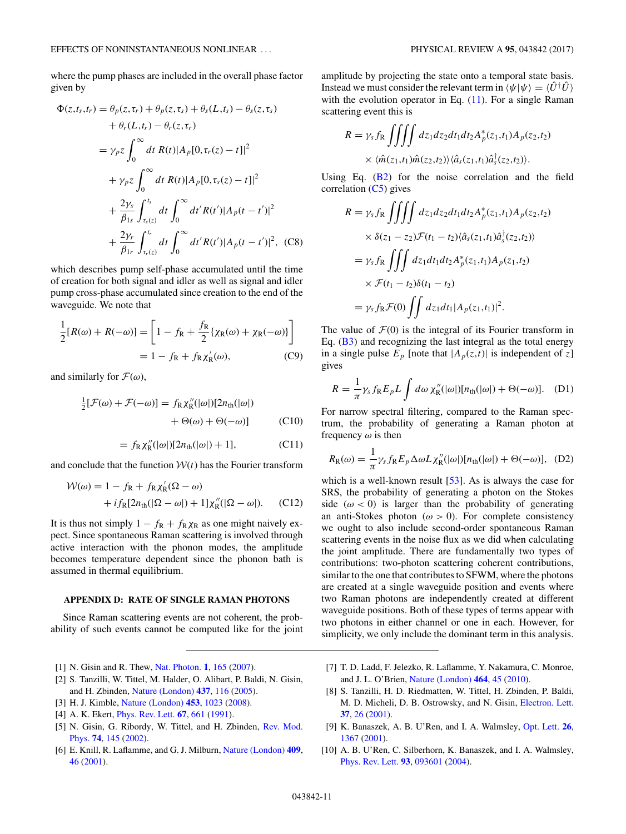<span id="page-11-0"></span>where the pump phases are included in the overall phase factor given by

$$
\Phi(z, t_s, t_r) = \theta_p(z, \tau_r) + \theta_p(z, \tau_s) + \theta_s(L, t_s) - \theta_s(z, \tau_s) \n+ \theta_r(L, t_r) - \theta_r(z, \tau_r) \n= \gamma_p z \int_0^\infty dt \ R(t) |A_p[0, \tau_r(z) - t]|^2 \n+ \gamma_p z \int_0^\infty dt \ R(t) |A_p[0, \tau_s(z) - t]|^2 \n+ \frac{2\gamma_s}{\beta_{1s}} \int_{\tau_s(z)}^{t_s} dt \int_0^\infty dt' R(t') |A_p(t - t')|^2 \n+ \frac{2\gamma_r}{\beta_{1r}} \int_{\tau_r(z)}^{t_r} dt \int_0^\infty dt' R(t') |A_p(t - t')|^2, \ (C8)
$$

which describes pump self-phase accumulated until the time of creation for both signal and idler as well as signal and idler pump cross-phase accumulated since creation to the end of the waveguide. We note that

$$
\frac{1}{2}[R(\omega) + R(-\omega)] = \left[1 - f_{\rm R} + \frac{f_{\rm R}}{2} \{\chi_{\rm R}(\omega) + \chi_{\rm R}(-\omega)\}\right]
$$

$$
= 1 - f_{\rm R} + f_{\rm R} \chi_{\rm R}'(\omega), \tag{C9}
$$

and similarly for  $\mathcal{F}(\omega)$ ,

$$
\frac{1}{2}[\mathcal{F}(\omega) + \mathcal{F}(-\omega)] = f_{\mathsf{R}} \chi''_{\mathsf{R}}(|\omega|)[2n_{\mathsf{th}}(|\omega|)
$$

$$
+ \Theta(\omega) + \Theta(-\omega)]
$$
(C10)

$$
= f_{\rm R} \chi''_{\rm R}(|\omega|)[2n_{\rm th}(|\omega|) + 1], \tag{C11}
$$

and conclude that the function  $W(t)$  has the Fourier transform

$$
\mathcal{W}(\omega) = 1 - f_{\mathcal{R}} + f_{\mathcal{R}} \chi_{\mathcal{R}}'(\Omega - \omega)
$$
  
+  $i f_{\mathcal{R}}[2n_{\text{th}}(|\Omega - \omega|) + 1] \chi_{\mathcal{R}}''(|\Omega - \omega|). \quad (C12)$ 

It is thus not simply  $1 - f_R + f_R \chi_R$  as one might naively expect. Since spontaneous Raman scattering is involved through active interaction with the phonon modes, the amplitude becomes temperature dependent since the phonon bath is assumed in thermal equilibrium.

### **APPENDIX D: RATE OF SINGLE RAMAN PHOTONS**

Since Raman scattering events are not coherent, the probability of such events cannot be computed like for the joint

- [1] N. Gisin and R. Thew, [Nat. Photon.](https://doi.org/10.1038/nphoton.2007.22) **[1](https://doi.org/10.1038/nphoton.2007.22)**, [165](https://doi.org/10.1038/nphoton.2007.22) [\(2007\)](https://doi.org/10.1038/nphoton.2007.22).
- [2] S. Tanzilli, W. Tittel, M. Halder, O. Alibart, P. Baldi, N. Gisin, and H. Zbinden, [Nature \(London\)](https://doi.org/10.1038/nature04009) **[437](https://doi.org/10.1038/nature04009)**, [116](https://doi.org/10.1038/nature04009) [\(2005\)](https://doi.org/10.1038/nature04009).
- [3] H. J. Kimble, [Nature \(London\)](https://doi.org/10.1038/nature07127) **[453](https://doi.org/10.1038/nature07127)**, [1023](https://doi.org/10.1038/nature07127) [\(2008\)](https://doi.org/10.1038/nature07127).
- [4] A. K. Ekert, [Phys. Rev. Lett.](https://doi.org/10.1103/PhysRevLett.67.661) **[67](https://doi.org/10.1103/PhysRevLett.67.661)**, [661](https://doi.org/10.1103/PhysRevLett.67.661) [\(1991\)](https://doi.org/10.1103/PhysRevLett.67.661).
- [5] [N. Gisin, G. Ribordy, W. Tittel, and H. Zbinden,](https://doi.org/10.1103/RevModPhys.74.145) Rev. Mod. Phys. **[74](https://doi.org/10.1103/RevModPhys.74.145)**, [145](https://doi.org/10.1103/RevModPhys.74.145) [\(2002\)](https://doi.org/10.1103/RevModPhys.74.145).
- [6] E. Knill, R. Laflamme, and G. J. Milburn, [Nature \(London\)](https://doi.org/10.1038/35051009) **[409](https://doi.org/10.1038/35051009)**, [46](https://doi.org/10.1038/35051009) [\(2001\)](https://doi.org/10.1038/35051009).

amplitude by projecting the state onto a temporal state basis. Instead we must consider the relevant term in  $\langle \psi | \psi \rangle = \langle \hat{U}^{\dagger} \hat{U} \rangle$ with the evolution operator in Eq.  $(11)$ . For a single Raman scattering event this is

$$
R = \gamma_s f_R \iiint dz_1 dz_2 dt_1 dt_2 A_p^*(z_1, t_1) A_p(z_2, t_2)
$$
  
 
$$
\times \langle \hat{m}(z_1, t_1) \hat{m}(z_2, t_2) \rangle \langle \hat{a}_s(z_1, t_1) \hat{a}_s^\dagger(z_2, t_2) \rangle.
$$

Using Eq.  $(B2)$  for the noise correlation and the field correlation  $(C5)$  gives

$$
R = \gamma_s f_{\mathcal{R}} \iiint dz_1 dz_2 dt_1 dt_2 A_p^*(z_1, t_1) A_p(z_2, t_2)
$$
  
\n
$$
\times \delta(z_1 - z_2) \mathcal{F}(t_1 - t_2) \langle \hat{a}_s(z_1, t_1) \hat{a}_s^{\dagger}(z_2, t_2) \rangle
$$
  
\n
$$
= \gamma_s f_{\mathcal{R}} \iiint dz_1 dt_1 dt_2 A_p^*(z_1, t_1) A_p(z_1, t_2)
$$
  
\n
$$
\times \mathcal{F}(t_1 - t_2) \delta(t_1 - t_2)
$$
  
\n
$$
= \gamma_s f_{\mathcal{R}} \mathcal{F}(0) \iiint dz_1 dt_1 |A_p(z_1, t_1)|^2.
$$

The value of  $\mathcal{F}(0)$  is the integral of its Fourier transform in Eq. [\(B3\)](#page-10-0) and recognizing the last integral as the total energy in a single pulse  $E_p$  [note that  $|A_p(z,t)|$  is independent of *z*] gives

$$
R = \frac{1}{\pi} \gamma_s f_R E_p L \int d\omega \, \chi''_R(|\omega|) [n_{\text{th}}(|\omega|) + \Theta(-\omega)]. \quad (D1)
$$

For narrow spectral filtering, compared to the Raman spectrum, the probability of generating a Raman photon at frequency *ω* is then

$$
R_{\rm R}(\omega) = \frac{1}{\pi} \gamma_s f_{\rm R} E_p \Delta \omega L \chi''_{\rm R}(|\omega|) [n_{\rm th}(|\omega|) + \Theta(-\omega)], \quad (D2)
$$

which is a well-known result [\[53\]](#page-12-0). As is always the case for SRS, the probability of generating a photon on the Stokes side  $(\omega < 0)$  is larger than the probability of generating an anti-Stokes photon ( $\omega > 0$ ). For complete consistency we ought to also include second-order spontaneous Raman scattering events in the noise flux as we did when calculating the joint amplitude. There are fundamentally two types of contributions: two-photon scattering coherent contributions, similar to the one that contributes to SFWM, where the photons are created at a single waveguide position and events where two Raman photons are independently created at different waveguide positions. Both of these types of terms appear with two photons in either channel or one in each. However, for simplicity, we only include the dominant term in this analysis.

- [7] T. D. Ladd, F. Jelezko, R. Laflamme, Y. Nakamura, C. Monroe, and J. L. O'Brien, [Nature \(London\)](https://doi.org/10.1038/nature08812) **[464](https://doi.org/10.1038/nature08812)**, [45](https://doi.org/10.1038/nature08812) [\(2010\)](https://doi.org/10.1038/nature08812).
- [8] S. Tanzilli, H. D. Riedmatten, W. Tittel, H. Zbinden, P. Baldi, M. D. Micheli, D. B. Ostrowsky, and N. Gisin, [Electron. Lett.](https://doi.org/10.1049/el:20010009) **[37](https://doi.org/10.1049/el:20010009)**, [26](https://doi.org/10.1049/el:20010009) [\(2001\)](https://doi.org/10.1049/el:20010009).
- [9] K. Banaszek, A. B. U'Ren, and I. A. Walmsley, [Opt. Lett.](https://doi.org/10.1364/OL.26.001367) **[26](https://doi.org/10.1364/OL.26.001367)**, [1367](https://doi.org/10.1364/OL.26.001367) [\(2001\)](https://doi.org/10.1364/OL.26.001367).
- [10] A. B. U'Ren, C. Silberhorn, K. Banaszek, and I. A. Walmsley, [Phys. Rev. Lett.](https://doi.org/10.1103/PhysRevLett.93.093601) **[93](https://doi.org/10.1103/PhysRevLett.93.093601)**, [093601](https://doi.org/10.1103/PhysRevLett.93.093601) [\(2004\)](https://doi.org/10.1103/PhysRevLett.93.093601).